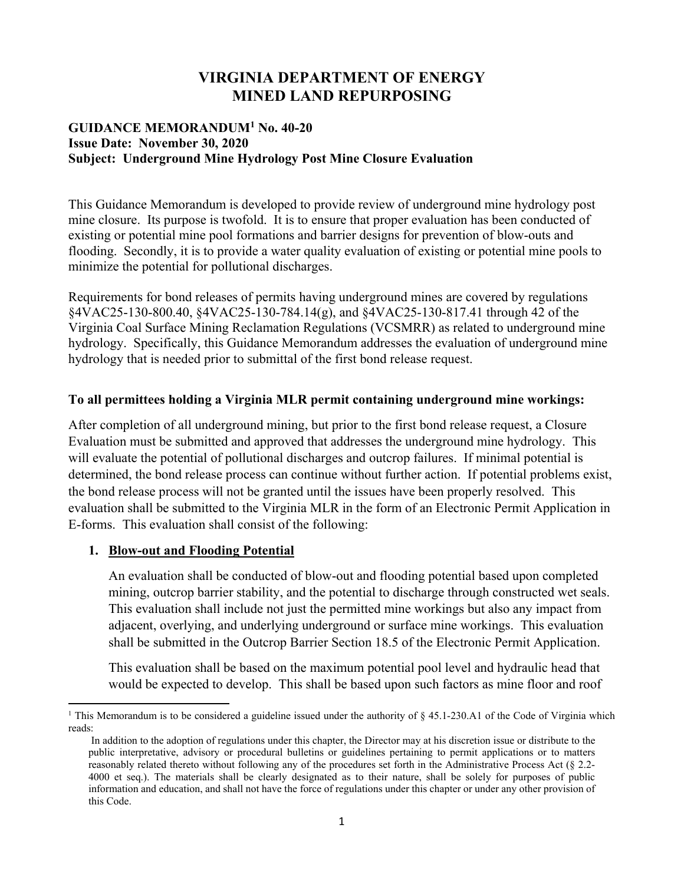# **VIRGINIA DEPARTMENT OF ENERGY MINED LAND REPURPOSING**

### **GUIDANCE MEMORANDUM<sup>1</sup> No. 40-20 Issue Date: November 30, 2020 Subject: Underground Mine Hydrology Post Mine Closure Evaluation**

This Guidance Memorandum is developed to provide review of underground mine hydrology post mine closure. Its purpose is twofold. It is to ensure that proper evaluation has been conducted of existing or potential mine pool formations and barrier designs for prevention of blow-outs and flooding. Secondly, it is to provide a water quality evaluation of existing or potential mine pools to minimize the potential for pollutional discharges.

Requirements for bond releases of permits having underground mines are covered by regulations §4VAC25-130-800.40, §4VAC25-130-784.14(g), and §4VAC25-130-817.41 through 42 of the Virginia Coal Surface Mining Reclamation Regulations (VCSMRR) as related to underground mine hydrology. Specifically, this Guidance Memorandum addresses the evaluation of underground mine hydrology that is needed prior to submittal of the first bond release request.

### **To all permittees holding a Virginia MLR permit containing underground mine workings:**

After completion of all underground mining, but prior to the first bond release request, a Closure Evaluation must be submitted and approved that addresses the underground mine hydrology. This will evaluate the potential of pollutional discharges and outcrop failures. If minimal potential is determined, the bond release process can continue without further action. If potential problems exist, the bond release process will not be granted until the issues have been properly resolved. This evaluation shall be submitted to the Virginia MLR in the form of an Electronic Permit Application in E-forms. This evaluation shall consist of the following:

## **1. Blow-out and Flooding Potential**

An evaluation shall be conducted of blow-out and flooding potential based upon completed mining, outcrop barrier stability, and the potential to discharge through constructed wet seals. This evaluation shall include not just the permitted mine workings but also any impact from adjacent, overlying, and underlying underground or surface mine workings. This evaluation shall be submitted in the Outcrop Barrier Section 18.5 of the Electronic Permit Application.

This evaluation shall be based on the maximum potential pool level and hydraulic head that would be expected to develop. This shall be based upon such factors as mine floor and roof

<sup>&</sup>lt;sup>1</sup> This Memorandum is to be considered a guideline issued under the authority of § 45.1-230.A1 of the Code of Virginia which reads:

In addition to the adoption of regulations under this chapter, the Director may at his discretion issue or distribute to the public interpretative, advisory or procedural bulletins or guidelines pertaining to permit applications or to matters reasonably related thereto without following any of the procedures set forth in the Administrative Process Act (§ 2.2- 4000 et seq.). The materials shall be clearly designated as to their nature, shall be solely for purposes of public information and education, and shall not have the force of regulations under this chapter or under any other provision of this Code.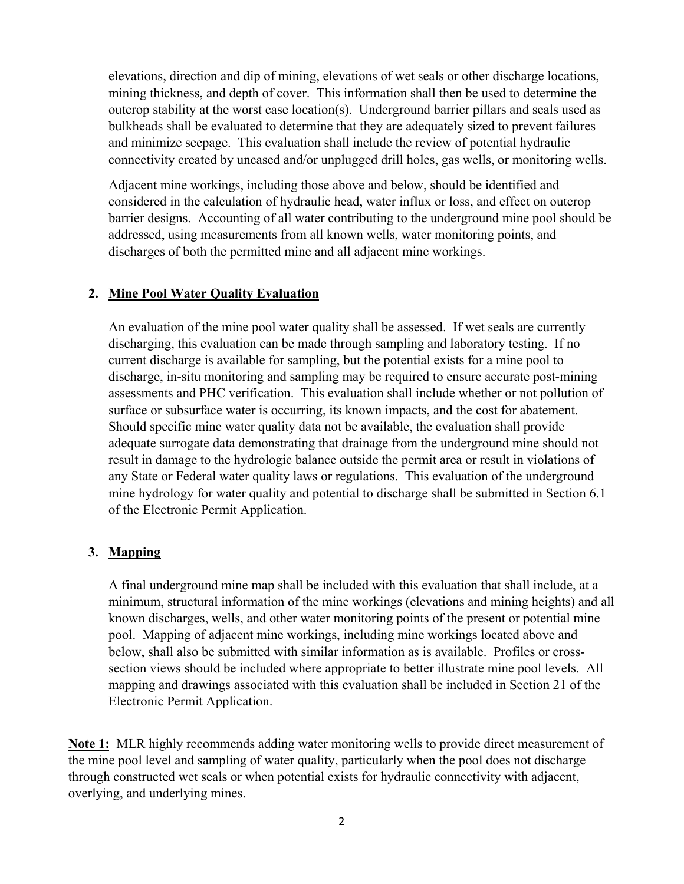elevations, direction and dip of mining, elevations of wet seals or other discharge locations, mining thickness, and depth of cover. This information shall then be used to determine the outcrop stability at the worst case location(s). Underground barrier pillars and seals used as bulkheads shall be evaluated to determine that they are adequately sized to prevent failures and minimize seepage. This evaluation shall include the review of potential hydraulic connectivity created by uncased and/or unplugged drill holes, gas wells, or monitoring wells.

Adjacent mine workings, including those above and below, should be identified and considered in the calculation of hydraulic head, water influx or loss, and effect on outcrop barrier designs. Accounting of all water contributing to the underground mine pool should be addressed, using measurements from all known wells, water monitoring points, and discharges of both the permitted mine and all adjacent mine workings.

### **2. Mine Pool Water Quality Evaluation**

An evaluation of the mine pool water quality shall be assessed. If wet seals are currently discharging, this evaluation can be made through sampling and laboratory testing. If no current discharge is available for sampling, but the potential exists for a mine pool to discharge, in-situ monitoring and sampling may be required to ensure accurate post-mining assessments and PHC verification. This evaluation shall include whether or not pollution of surface or subsurface water is occurring, its known impacts, and the cost for abatement. Should specific mine water quality data not be available, the evaluation shall provide adequate surrogate data demonstrating that drainage from the underground mine should not result in damage to the hydrologic balance outside the permit area or result in violations of any State or Federal water quality laws or regulations. This evaluation of the underground mine hydrology for water quality and potential to discharge shall be submitted in Section 6.1 of the Electronic Permit Application.

## **3. Mapping**

A final underground mine map shall be included with this evaluation that shall include, at a minimum, structural information of the mine workings (elevations and mining heights) and all known discharges, wells, and other water monitoring points of the present or potential mine pool. Mapping of adjacent mine workings, including mine workings located above and below, shall also be submitted with similar information as is available. Profiles or crosssection views should be included where appropriate to better illustrate mine pool levels. All mapping and drawings associated with this evaluation shall be included in Section 21 of the Electronic Permit Application.

**Note 1:** MLR highly recommends adding water monitoring wells to provide direct measurement of the mine pool level and sampling of water quality, particularly when the pool does not discharge through constructed wet seals or when potential exists for hydraulic connectivity with adjacent, overlying, and underlying mines.